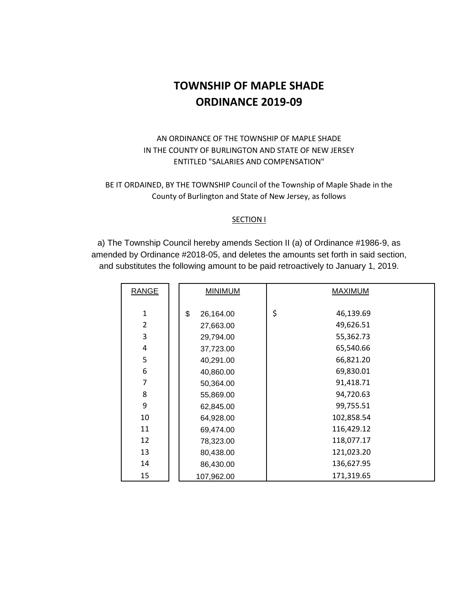# **TOWNSHIP OF MAPLE SHADE ORDINANCE 2019-09**

### AN ORDINANCE OF THE TOWNSHIP OF MAPLE SHADE IN THE COUNTY OF BURLINGTON AND STATE OF NEW JERSEY ENTITLED "SALARIES AND COMPENSATION"

BE IT ORDAINED, BY THE TOWNSHIP Council of the Township of Maple Shade in the County of Burlington and State of New Jersey, as follows

#### SECTION I

a) The Township Council hereby amends Section II (a) of Ordinance #1986-9, as amended by Ordinance #2018-05, and deletes the amounts set forth in said section, and substitutes the following amount to be paid retroactively to January 1, 2019.

| <b>RANGE</b>   | <b>MINIMUM</b>  | <b>MAXIMUM</b>  |  |  |  |
|----------------|-----------------|-----------------|--|--|--|
| $\mathbf{1}$   | \$<br>26,164.00 | \$<br>46,139.69 |  |  |  |
| $\overline{2}$ | 27,663.00       | 49,626.51       |  |  |  |
| 3              | 29,794.00       | 55,362.73       |  |  |  |
| 4              | 37,723.00       | 65,540.66       |  |  |  |
| 5              | 40,291.00       | 66,821.20       |  |  |  |
| 6              | 40,860.00       | 69,830.01       |  |  |  |
| 7              | 50,364.00       | 91,418.71       |  |  |  |
| 8              | 55,869.00       | 94,720.63       |  |  |  |
| 9              | 62,845.00       | 99,755.51       |  |  |  |
| 10             | 64,928.00       | 102,858.54      |  |  |  |
| 11             | 69,474.00       | 116,429.12      |  |  |  |
| 12             | 78,323.00       | 118,077.17      |  |  |  |
| 13             | 80,438.00       | 121,023.20      |  |  |  |
| 14             | 86,430.00       | 136,627.95      |  |  |  |
| 15             | 107,962.00      | 171,319.65      |  |  |  |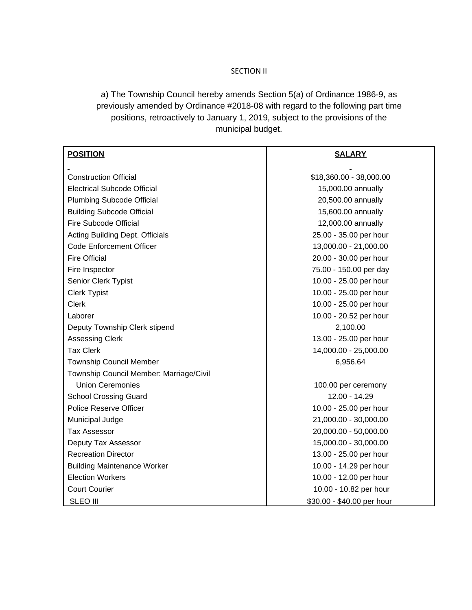#### **SECTION II**

a) The Township Council hereby amends Section 5(a) of Ordinance 1986-9, as previously amended by Ordinance #2018-08 with regard to the following part time positions, retroactively to January 1, 2019, subject to the provisions of the municipal budget.

| <b>POSITION</b>                         | <b>SALARY</b>              |  |  |  |
|-----------------------------------------|----------------------------|--|--|--|
|                                         |                            |  |  |  |
| <b>Construction Official</b>            | \$18,360.00 - 38,000.00    |  |  |  |
| <b>Electrical Subcode Official</b>      | 15,000.00 annually         |  |  |  |
| <b>Plumbing Subcode Official</b>        | 20,500.00 annually         |  |  |  |
| <b>Building Subcode Official</b>        | 15,600.00 annually         |  |  |  |
| <b>Fire Subcode Official</b>            | 12,000.00 annually         |  |  |  |
| <b>Acting Building Dept. Officials</b>  | 25.00 - 35.00 per hour     |  |  |  |
| <b>Code Enforcement Officer</b>         | 13,000.00 - 21,000.00      |  |  |  |
| <b>Fire Official</b>                    | 20.00 - 30.00 per hour     |  |  |  |
| Fire Inspector                          | 75.00 - 150.00 per day     |  |  |  |
| Senior Clerk Typist                     | 10.00 - 25.00 per hour     |  |  |  |
| <b>Clerk Typist</b>                     | 10.00 - 25.00 per hour     |  |  |  |
| <b>Clerk</b>                            | 10.00 - 25.00 per hour     |  |  |  |
| Laborer                                 | 10.00 - 20.52 per hour     |  |  |  |
| Deputy Township Clerk stipend           | 2,100.00                   |  |  |  |
| <b>Assessing Clerk</b>                  | 13.00 - 25.00 per hour     |  |  |  |
| <b>Tax Clerk</b>                        | 14,000.00 - 25,000.00      |  |  |  |
| <b>Township Council Member</b>          | 6,956.64                   |  |  |  |
| Township Council Member: Marriage/Civil |                            |  |  |  |
| <b>Union Ceremonies</b>                 | 100.00 per ceremony        |  |  |  |
| <b>School Crossing Guard</b>            | 12.00 - 14.29              |  |  |  |
| Police Reserve Officer                  | 10.00 - 25.00 per hour     |  |  |  |
| Municipal Judge                         | 21,000.00 - 30,000.00      |  |  |  |
| <b>Tax Assessor</b>                     | 20,000.00 - 50,000.00      |  |  |  |
| Deputy Tax Assessor                     | 15,000.00 - 30,000.00      |  |  |  |
| <b>Recreation Director</b>              | 13.00 - 25.00 per hour     |  |  |  |
| <b>Building Maintenance Worker</b>      | 10.00 - 14.29 per hour     |  |  |  |
| <b>Election Workers</b>                 | 10.00 - 12.00 per hour     |  |  |  |
| <b>Court Courier</b>                    | 10.00 - 10.82 per hour     |  |  |  |
| <b>SLEO III</b>                         | \$30.00 - \$40.00 per hour |  |  |  |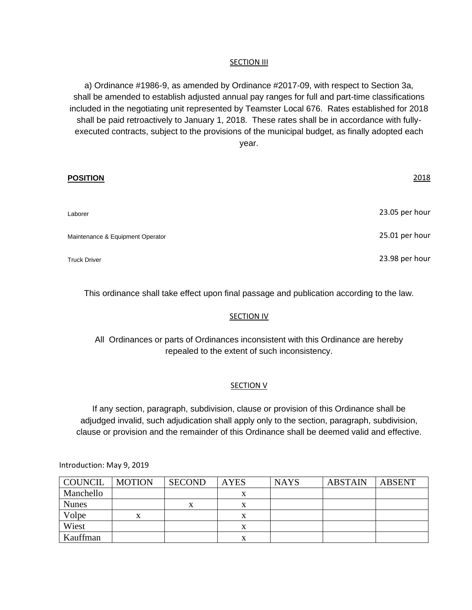#### **SECTION III**

a) Ordinance #1986-9, as amended by Ordinance #2017-09, with respect to Section 3a, shall be amended to establish adjusted annual pay ranges for full and part-time classifications included in the negotiating unit represented by Teamster Local 676. Rates established for 2018 shall be paid retroactively to January 1, 2018. These rates shall be in accordance with fullyexecuted contracts, subject to the provisions of the municipal budget, as finally adopted each year.

| <b>POSITION</b>                  | 2018           |
|----------------------------------|----------------|
| Laborer                          | 23.05 per hour |
| Maintenance & Equipment Operator | 25.01 per hour |
| <b>Truck Driver</b>              | 23.98 per hour |

This ordinance shall take effect upon final passage and publication according to the law.

#### **SECTION IV**

All Ordinances or parts of Ordinances inconsistent with this Ordinance are hereby repealed to the extent of such inconsistency.

#### **SECTION V**

If any section, paragraph, subdivision, clause or provision of this Ordinance shall be adjudged invalid, such adjudication shall apply only to the section, paragraph, subdivision, clause or provision and the remainder of this Ordinance shall be deemed valid and effective.

Introduction: May 9, 2019

| COUNCIL      | <b>MOTION</b> | <b>SECOND</b> | <b>AYES</b> | <b>NAYS</b> | <b>ABSTAIN</b> | <b>ABSENT</b> |
|--------------|---------------|---------------|-------------|-------------|----------------|---------------|
| Manchello    |               |               |             |             |                |               |
| <b>Nunes</b> |               | л             |             |             |                |               |
| Volpe        | x             |               | $\lambda$   |             |                |               |
| Wiest        |               |               | x           |             |                |               |
| Kauffman     |               |               |             |             |                |               |